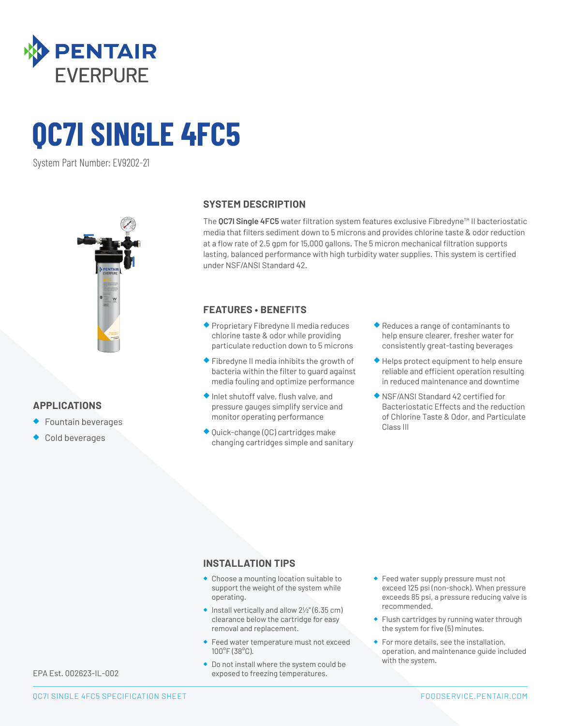

# **QC7I SINGLE 4FC5**

System Part Number: EV9202-21



## **APPLICATIONS**

- ◆ Fountain beverages
- Cold beverages

#### **SYSTEM DESCRIPTION**

The **QC7I Single 4FC5** water filtration system features exclusive Fibredyne™ II bacteriostatic media that filters sediment down to 5 microns and provides chlorine taste & odor reduction at a flow rate of 2.5 gpm for 15,000 gallons. The 5 micron mechanical filtration supports lasting, balanced performance with high turbidity water supplies. This system is certified under NSF/ANSI Standard 42.

### **FEATURES • BENEFITS**

- ◆ Proprietary Fibredyne II media reduces chlorine taste & odor while providing particulate reduction down to 5 microns
- ◆ Fibredyne II media inhibits the growth of bacteria within the filter to guard against media fouling and optimize performance
- ◆ Inlet shutoff valve, flush valve, and pressure gauges simplify service and monitor operating performance
- ◆ Quick-change (QC) cartridges make changing cartridges simple and sanitary
- ◆ Reduces a range of contaminants to help ensure clearer, fresher water for consistently great-tasting beverages
- ◆ Helps protect equipment to help ensure reliable and efficient operation resulting in reduced maintenance and downtime
- ◆ NSF/ANSI Standard 42 certified for Bacteriostatic Effects and the reduction of Chlorine Taste & Odor, and Particulate Class III

#### **INSTALLATION TIPS**

- ◆ Choose a mounting location suitable to support the weight of the system while operating.
- $\bullet$  Install vertically and allow  $2\frac{1}{2}$ " (6.35 cm) clearance below the cartridge for easy removal and replacement.
- ◆ Feed water temperature must not exceed 100°F (38°C).
- ◆ Do not install where the system could be exposed to freezing temperatures.
- ◆ Feed water supply pressure must not exceed 125 psi (non-shock). When pressure exceeds 85 psi, a pressure reducing valve is recommended.
- ◆ Flush cartridges by running water through the system for five (5) minutes.
- ◆ For more details, see the installation, operation, and maintenance guide included with the system.

EPA Est. 002623-IL-002